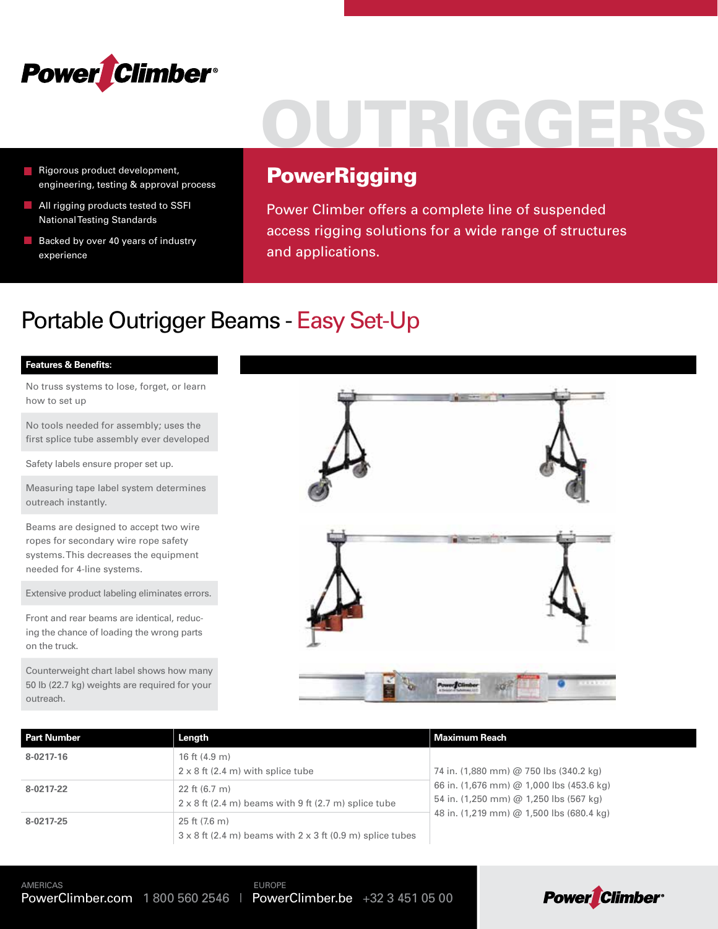

- Rigorous product development, engineering, testing & approval process
- **All rigging products tested to SSFI** National Testing Standards
- Backed by over 40 years of industry experience

# OUTRIGGERS

### **PowerRigging**

Power Climber offers a complete line of suspended access rigging solutions for a wide range of structures and applications.

### Portable Outrigger Beams - Easy Set-Up

#### **Features & Benefits:**

No truss systems to lose, forget, or learn how to set up

No tools needed for assembly; uses the first splice tube assembly ever developed

Safety labels ensure proper set up.

Measuring tape label system determines outreach instantly.

Beams are designed to accept two wire ropes for secondary wire rope safety systems. This decreases the equipment needed for 4-line systems.

Extensive product labeling eliminates errors.

Front and rear beams are identical, reducing the chance of loading the wrong parts on the truck.

Counterweight chart label shows how many 50 lb (22.7 kg) weights are required for your outreach.



| <b>Part Number</b> | Length                                                                                        | Maximum Reach                                                                      |
|--------------------|-----------------------------------------------------------------------------------------------|------------------------------------------------------------------------------------|
| 8-0217-16          | 16 ft $(4.9 \text{ m})$<br>$2 \times 8$ ft (2.4 m) with splice tube                           | 74 in. (1,880 mm) @ 750 lbs (340.2 kg)                                             |
| 8-0217-22          | 22 ft $(6.7 \text{ m})$<br>$2 \times 8$ ft (2.4 m) beams with 9 ft (2.7 m) splice tube        | 66 in. (1,676 mm) @ 1,000 lbs (453.6 kg)<br>54 in. (1,250 mm) @ 1,250 lbs (567 kg) |
| 8-0217-25          | $25$ ft $(7.6)$ m)<br>$3 \times 8$ ft (2.4 m) beams with $2 \times 3$ ft (0.9 m) splice tubes | 48 in. (1,219 mm) @ 1,500 lbs (680.4 kg)                                           |

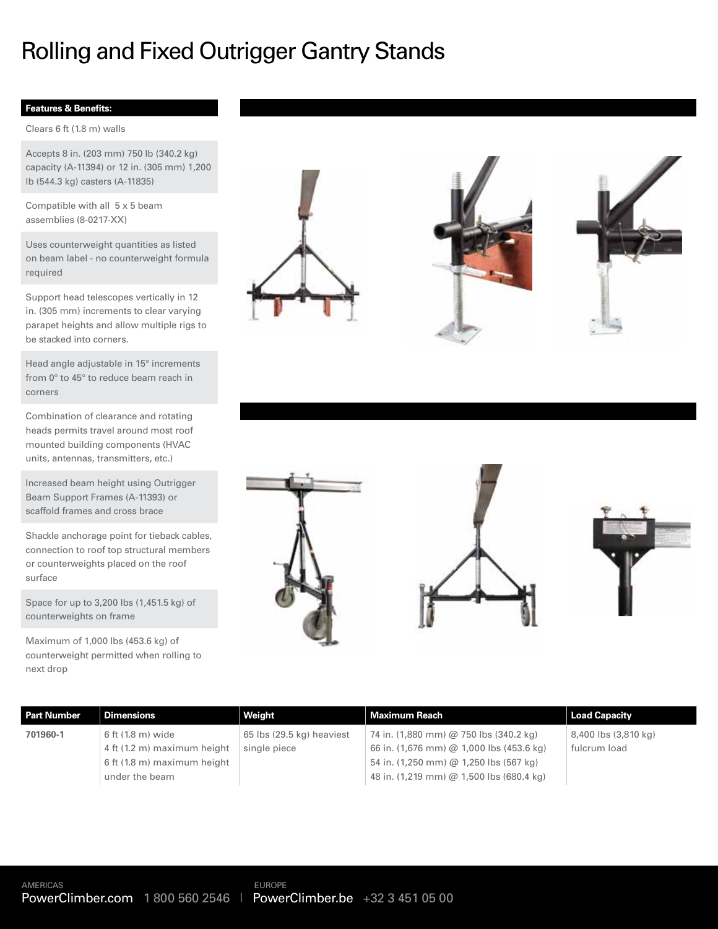## Rolling and Fixed Outrigger Gantry Stands

### **Features & Benefits:**

Clears 6 ft (1.8 m) walls

Accepts 8 in. (203 mm) 750 lb (340.2 kg) capacity (A-11394) or 12 in. (305 mm) 1,200 lb (544.3 kg) casters (A-11835)

Compatible with all 5 x 5 beam assemblies (8-0217-XX)

Uses counterweight quantities as listed on beam label - no counterweight formula required

Support head telescopes vertically in 12 in. (305 mm) increments to clear varying parapet heights and allow multiple rigs to be stacked into corners.

Head angle adjustable in 15° increments from 0° to 45° to reduce beam reach in corners

Combination of clearance and rotating heads permits travel around most roof mounted building components (HVAC units, antennas, transmitters, etc.)

Increased beam height using Outrigger Beam Support Frames (A-11393) or scaffold frames and cross brace

Shackle anchorage point for tieback cables, connection to roof top structural members or counterweights placed on the roof surface

Space for up to 3,200 lbs (1,451.5 kg) of counterweights on frame

Maximum of 1,000 lbs (453.6 kg) of counterweight permitted when rolling to next drop









| <b>Part Number</b> | <b>Dimensions</b>           | Weight                    | Maximum Reach                            | <b>Load Capacity</b> |
|--------------------|-----------------------------|---------------------------|------------------------------------------|----------------------|
| 701960-1           | 6 ft (1.8 m) wide           | 65 lbs (29.5 kg) heaviest | 74 in. (1,880 mm) @ 750 lbs (340.2 kg)   | 8,400 lbs (3,810 kg) |
|                    | 4 ft (1.2 m) maximum height | single piece              | 66 in. (1,676 mm) @ 1,000 lbs (453.6 kg) | fulcrum load         |
|                    | 6 ft (1.8 m) maximum height |                           | 54 in. (1,250 mm) @ 1,250 lbs (567 kg)   |                      |
|                    | under the beam              |                           | 48 in. (1,219 mm) @ 1,500 lbs (680.4 kg) |                      |
|                    |                             |                           |                                          |                      |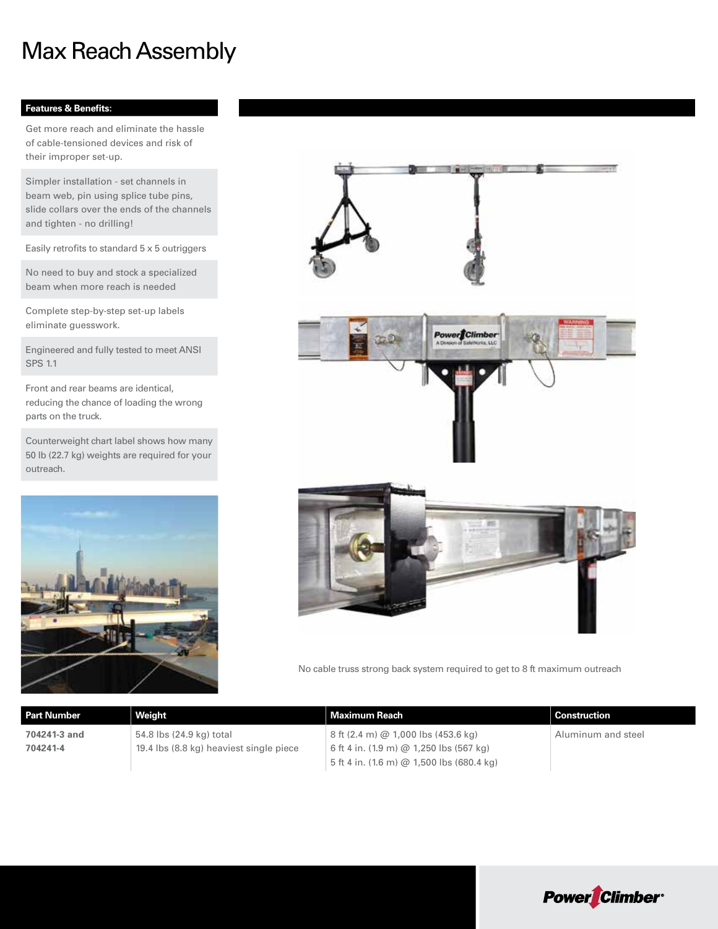### Max Reach Assembly

### **Features & Benefits:**

Get more reach and eliminate the hassle of cable-tensioned devices and risk of their improper set-up.

Simpler installation - set channels in beam web, pin using splice tube pins, slide collars over the ends of the channels and tighten - no drilling!

Easily retrofits to standard 5 x 5 outriggers

No need to buy and stock a specialized beam when more reach is needed

Complete step-by-step set-up labels eliminate guesswork.

Engineered and fully tested to meet ANSI SPS 1.1

Front and rear beams are identical, reducing the chance of loading the wrong parts on the truck.

Counterweight chart label shows how many 50 lb (22.7 kg) weights are required for your outreach.





No cable truss strong back system required to get to 8 ft maximum outreach

| <b>Part Number</b> | Weight                                  | Maximum Reach                                                 | <b>Construction</b> |
|--------------------|-----------------------------------------|---------------------------------------------------------------|---------------------|
| 704241-3 and       | 54.8 lbs (24.9 kg) total                | 8 ft (2.4 m) @ 1,000 lbs (453.6 kg)                           | Aluminum and steel  |
| 704241-4           | 19.4 lbs (8.8 kg) heaviest single piece | 6 ft 4 in. (1.9 m) @ 1,250 lbs (567 kg)                       |                     |
|                    |                                         | 5 ft 4 in. $(1.6 \text{ m})$ @ 1,500 lbs $(680.4 \text{ kg})$ |                     |